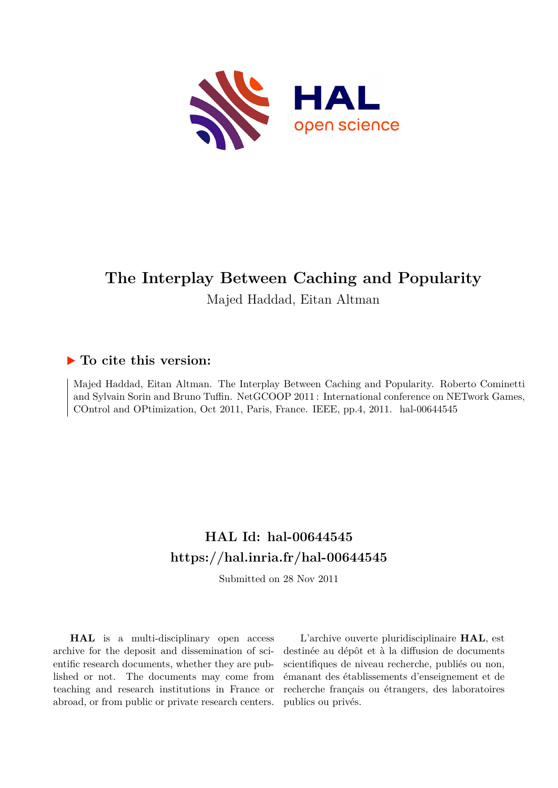

## **The Interplay Between Caching and Popularity**

Majed Haddad, Eitan Altman

### **To cite this version:**

Majed Haddad, Eitan Altman. The Interplay Between Caching and Popularity. Roberto Cominetti and Sylvain Sorin and Bruno Tuffin. NetGCOOP 2011 : International conference on NETwork Games, COntrol and OPtimization, Oct 2011, Paris, France. IEEE, pp.4,  $2011$ . hal-00644545

### **HAL Id: hal-00644545 <https://hal.inria.fr/hal-00644545>**

Submitted on 28 Nov 2011

**HAL** is a multi-disciplinary open access archive for the deposit and dissemination of scientific research documents, whether they are published or not. The documents may come from teaching and research institutions in France or abroad, or from public or private research centers.

L'archive ouverte pluridisciplinaire **HAL**, est destinée au dépôt et à la diffusion de documents scientifiques de niveau recherche, publiés ou non, émanant des établissements d'enseignement et de recherche français ou étrangers, des laboratoires publics ou privés.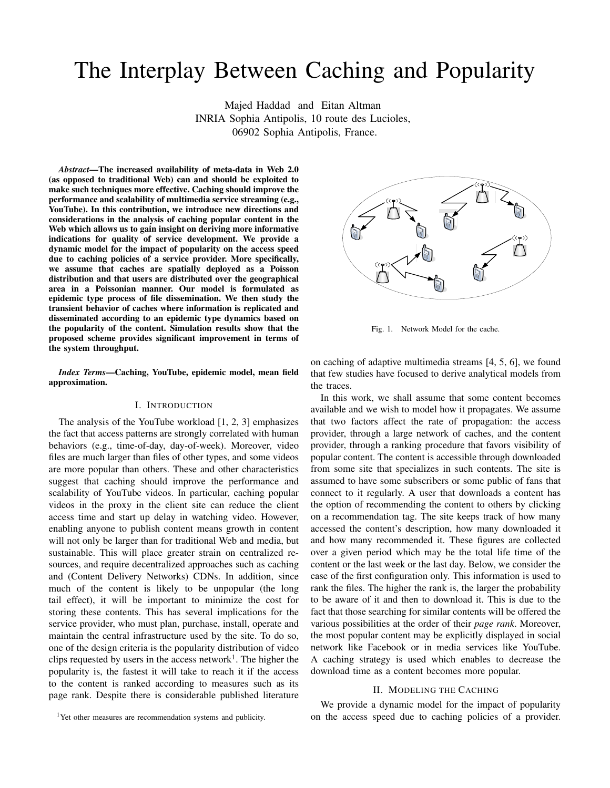# The Interplay Between Caching and Popularity

Majed Haddad and Eitan Altman INRIA Sophia Antipolis, 10 route des Lucioles, 06902 Sophia Antipolis, France.

*Abstract*—The increased availability of meta-data in Web 2.0 (as opposed to traditional Web) can and should be exploited to make such techniques more effective. Caching should improve the performance and scalability of multimedia service streaming (e.g., YouTube). In this contribution, we introduce new directions and considerations in the analysis of caching popular content in the Web which allows us to gain insight on deriving more informative indications for quality of service development. We provide a dynamic model for the impact of popularity on the access speed due to caching policies of a service provider. More specifically, we assume that caches are spatially deployed as a Poisson distribution and that users are distributed over the geographical area in a Poissonian manner. Our model is formulated as epidemic type process of file dissemination. We then study the transient behavior of caches where information is replicated and disseminated according to an epidemic type dynamics based on the popularity of the content. Simulation results show that the proposed scheme provides significant improvement in terms of the system throughput.

*Index Terms*—Caching, YouTube, epidemic model, mean field approximation.

#### I. INTRODUCTION

The analysis of the YouTube workload [1, 2, 3] emphasizes the fact that access patterns are strongly correlated with human behaviors (e.g., time-of-day, day-of-week). Moreover, video files are much larger than files of other types, and some videos are more popular than others. These and other characteristics suggest that caching should improve the performance and scalability of YouTube videos. In particular, caching popular videos in the proxy in the client site can reduce the client access time and start up delay in watching video. However, enabling anyone to publish content means growth in content will not only be larger than for traditional Web and media, but sustainable. This will place greater strain on centralized resources, and require decentralized approaches such as caching and (Content Delivery Networks) CDNs. In addition, since much of the content is likely to be unpopular (the long tail effect), it will be important to minimize the cost for storing these contents. This has several implications for the service provider, who must plan, purchase, install, operate and maintain the central infrastructure used by the site. To do so, one of the design criteria is the popularity distribution of video clips requested by users in the access network<sup>1</sup>. The higher the popularity is, the fastest it will take to reach it if the access to the content is ranked according to measures such as its page rank. Despite there is considerable published literature



Fig. 1. Network Model for the cache.

on caching of adaptive multimedia streams [4, 5, 6], we found that few studies have focused to derive analytical models from the traces.

In this work, we shall assume that some content becomes available and we wish to model how it propagates. We assume that two factors affect the rate of propagation: the access provider, through a large network of caches, and the content provider, through a ranking procedure that favors visibility of popular content. The content is accessible through downloaded from some site that specializes in such contents. The site is assumed to have some subscribers or some public of fans that connect to it regularly. A user that downloads a content has the option of recommending the content to others by clicking on a recommendation tag. The site keeps track of how many accessed the content's description, how many downloaded it and how many recommended it. These figures are collected over a given period which may be the total life time of the content or the last week or the last day. Below, we consider the case of the first configuration only. This information is used to rank the files. The higher the rank is, the larger the probability to be aware of it and then to download it. This is due to the fact that those searching for similar contents will be offered the various possibilities at the order of their *page rank*. Moreover, the most popular content may be explicitly displayed in social network like Facebook or in media services like YouTube. A caching strategy is used which enables to decrease the download time as a content becomes more popular.

#### II. MODELING THE CACHING

We provide a dynamic model for the impact of popularity on the access speed due to caching policies of a provider.

<sup>&</sup>lt;sup>1</sup>Yet other measures are recommendation systems and publicity.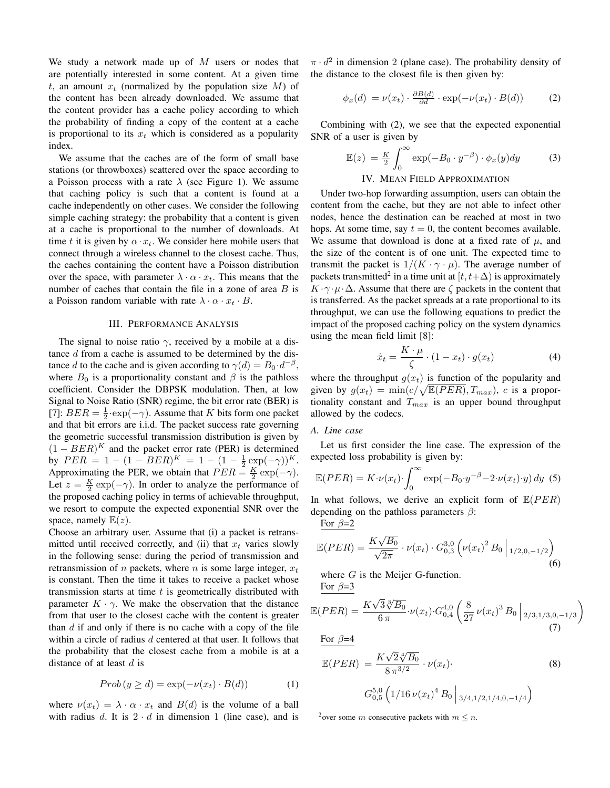We study a network made up of  $M$  users or nodes that are potentially interested in some content. At a given time t, an amount  $x_t$  (normalized by the population size M) of the content has been already downloaded. We assume that the content provider has a cache policy according to which the probability of finding a copy of the content at a cache is proportional to its  $x_t$  which is considered as a popularity index.

We assume that the caches are of the form of small base stations (or throwboxes) scattered over the space according to a Poisson process with a rate  $\lambda$  (see Figure 1). We assume that caching policy is such that a content is found at a cache independently on other cases. We consider the following simple caching strategy: the probability that a content is given at a cache is proportional to the number of downloads. At time t it is given by  $\alpha \cdot x_t$ . We consider here mobile users that connect through a wireless channel to the closest cache. Thus, the caches containing the content have a Poisson distribution over the space, with parameter  $\lambda \cdot \alpha \cdot x_t$ . This means that the number of caches that contain the file in a zone of area  $B$  is a Poisson random variable with rate  $\lambda \cdot \alpha \cdot x_t \cdot B$ .

#### III. PERFORMANCE ANALYSIS

The signal to noise ratio  $\gamma$ , received by a mobile at a distance d from a cache is assumed to be determined by the distance d to the cache and is given according to  $\gamma(d) = B_0 \cdot d^{-\beta}$ , where  $B_0$  is a proportionality constant and  $\beta$  is the pathloss coefficient. Consider the DBPSK modulation. Then, at low Signal to Noise Ratio (SNR) regime, the bit error rate (BER) is [7]:  $BER = \frac{1}{2} \cdot \exp(-\gamma)$ . Assume that K bits form one packet and that bit errors are i.i.d. The packet success rate governing the geometric successful transmission distribution is given by  $(1 - BER)^K$  and the packet error rate (PER) is determined by  $PER = 1 - (1 - BER)^K = 1 - (1 - \frac{1}{2} \exp(-\gamma))^K$ . Approximating the PER, we obtain that  $PER = \frac{K}{2} \exp(-\gamma)$ . Let  $z = \frac{K}{2} \exp(-\gamma)$ . In order to analyze the performance of the proposed caching policy in terms of achievable throughput, we resort to compute the expected exponential SNR over the space, namely  $E(z)$ .

Choose an arbitrary user. Assume that (i) a packet is retransmitted until received correctly, and (ii) that  $x_t$  varies slowly in the following sense: during the period of transmission and retransmission of  $n$  packets, where  $n$  is some large integer,  $x_t$ is constant. Then the time it takes to receive a packet whose transmission starts at time  $t$  is geometrically distributed with parameter  $K \cdot \gamma$ . We make the observation that the distance from that user to the closest cache with the content is greater than  $d$  if and only if there is no cache with a copy of the file within a circle of radius d centered at that user. It follows that the probability that the closest cache from a mobile is at a distance of at least  $d$  is

$$
Prob(y \ge d) = \exp(-\nu(x_t) \cdot B(d)) \tag{1}
$$

where  $\nu(x_t) = \lambda \cdot \alpha \cdot x_t$  and  $B(d)$  is the volume of a ball with radius d. It is  $2 \cdot d$  in dimension 1 (line case), and is

 $\pi \cdot d^2$  in dimension 2 (plane case). The probability density of the distance to the closest file is then given by:

$$
\phi_x(d) = \nu(x_t) \cdot \frac{\partial B(d)}{\partial d} \cdot \exp(-\nu(x_t) \cdot B(d)) \tag{2}
$$

Combining with (2), we see that the expected exponential SNR of a user is given by

$$
\mathbb{E}(z) = \frac{K}{2} \int_0^\infty \exp(-B_0 \cdot y^{-\beta}) \cdot \phi_x(y) dy \tag{3}
$$

#### IV. MEAN FIELD APPROXIMATION

Under two-hop forwarding assumption, users can obtain the content from the cache, but they are not able to infect other nodes, hence the destination can be reached at most in two hops. At some time, say  $t = 0$ , the content becomes available. We assume that download is done at a fixed rate of  $\mu$ , and the size of the content is of one unit. The expected time to transmit the packet is  $1/(K \cdot \gamma \cdot \mu)$ . The average number of packets transmitted<sup>2</sup> in a time unit at  $[t, t+\Delta)$  is approximately  $K \cdot \gamma \cdot \mu \cdot \Delta$ . Assume that there are  $\zeta$  packets in the content that is transferred. As the packet spreads at a rate proportional to its throughput, we can use the following equations to predict the impact of the proposed caching policy on the system dynamics using the mean field limit [8]:

$$
\dot{x}_t = \frac{K \cdot \mu}{\zeta} \cdot (1 - x_t) \cdot g(x_t) \tag{4}
$$

where the throughput  $g(x_t)$  is function of the popularity and given by  $g(x_t) = \min(c/\sqrt{\mathbb{E}(PER)}, T_{max})$ , c is a proportionality constant and  $T_{max}$  is an upper bound throughput allowed by the codecs.

#### *A. Line case*

Let us first consider the line case. The expression of the expected loss probability is given by:

$$
\mathbb{E}(PER) = K \cdot \nu(x_t) \cdot \int_0^\infty \exp(-B_0 \cdot y^{-\beta} - 2 \cdot \nu(x_t) \cdot y) \, dy \tag{5}
$$

In what follows, we derive an explicit form of  $E(PER)$ depending on the pathloss parameters  $\beta$ :

For  $\beta=2$ 

$$
\mathbb{E}(PER) = \frac{K\sqrt{B_0}}{\sqrt{2\pi}} \cdot \nu(x_t) \cdot G_{0,3}^{3,0} \left( \nu(x_t)^2 B_0 \middle|_{1/2,0,-1/2} \right)
$$
\n(6)

where  $G$  is the Meijer G-function. For  $\beta = 3$ 

$$
\mathbb{E}(PER) = \frac{K\sqrt{3}\sqrt[3]{B_0}}{6\pi} \cdot \nu(x_t) \cdot G_{0,4}^{4,0} \left(\frac{8}{27}\nu(x_t)^3 B_0\bigg|_{2/3,1/3,0,-1/3}\right)
$$
(7)

For 
$$
\beta = 4
$$

$$
\mathbb{E}(PER) = \frac{K\sqrt{2}\sqrt[4]{B_0}}{8\pi^{3/2}} \cdot \nu(x_t).
$$
\n
$$
G_{0,5}^{5,0} \left(1/16\,\nu(x_t)^4\,B_0\,\bigg|_{3/4,1/2,1/4,0,-1/4}\right)
$$
\n(8)

<sup>2</sup>over some *m* consecutive packets with  $m \leq n$ .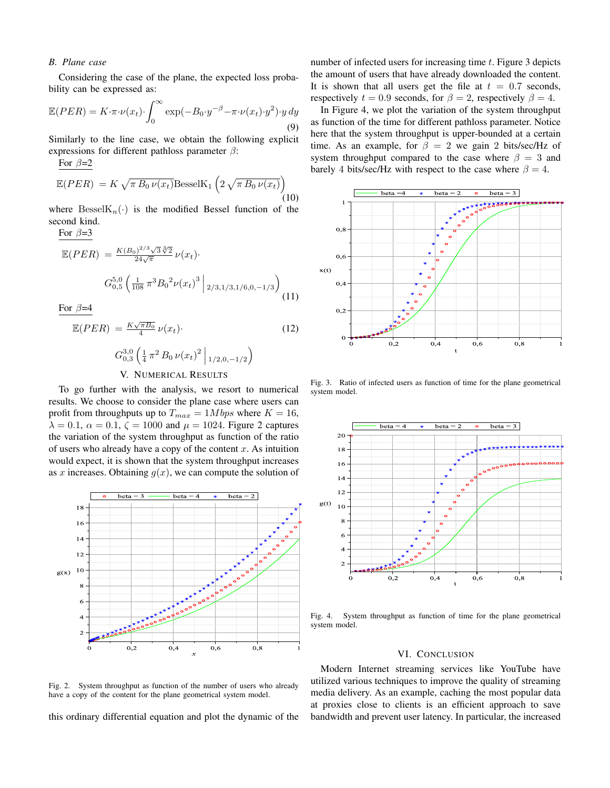#### *B. Plane case*

For  $\beta - 2$ 

For  $\beta = 3$ 

Considering the case of the plane, the expected loss probability can be expressed as:

$$
\mathbb{E}(PER) = K \cdot \pi \cdot \nu(x_t) \cdot \int_0^\infty \exp(-B_0 \cdot y^{-\beta} - \pi \cdot \nu(x_t) \cdot y^2) \cdot y \, dy
$$
\n(9)

Similarly to the line case, we obtain the following explicit expressions for different pathloss parameter  $\beta$ :

$$
\frac{\text{Is } \text{Tr}(PER)}{\mathbb{E}(PER)} = K \sqrt{\pi B_0 \nu(x_t)} \text{BesselK}_1 \left( 2 \sqrt{\pi B_0 \nu(x_t)} \right)
$$
\n(10)

where  $\text{BesselK}_n(\cdot)$  is the modified Bessel function of the second kind.

 $\mathbb{E}(PER) = \frac{K(B_0)^{2/3}\sqrt{3}\sqrt[3]{2}}{24\sqrt{\pi}} \nu(x_t)$  $G_{0,5}^{5,0}\left(\frac{1}{108}\,\pi^3{B_0}^2{\nu(x_t)}^3\,\middle|\,{{}_{2/3,1/3,1/6,0,-1/3}}\right)$  $\setminus$ (11)

For  $\beta = 4$ 

$$
\mathbb{E}(PER) = \frac{K\sqrt{\pi B_0}}{4} \nu(x_t).
$$
\n(12)\n
$$
G_{0,3}^{3,0} \left( \frac{1}{4} \pi^2 B_0 \nu(x_t)^2 \middle|_{1/2,0,-1/2} \right)
$$
\n
$$
V_{\bullet} \text{ MUMENGM PISULE}
$$

#### V. NUMERICAL RESULTS

To go further with the analysis, we resort to numerical results. We choose to consider the plane case where users can profit from throughputs up to  $T_{max} = 1Mbps$  where  $K = 16$ ,  $\lambda = 0.1$ ,  $\alpha = 0.1$ ,  $\zeta = 1000$  and  $\mu = 1024$ . Figure 2 captures the variation of the system throughput as function of the ratio of users who already have a copy of the content  $x$ . As intuition would expect, it is shown that the system throughput increases as x increases. Obtaining  $q(x)$ , we can compute the solution of



number of infected users for increasing time  $t$ . Figure 3 depicts the amount of users that have already downloaded the content. It is shown that all users get the file at  $t = 0.7$  seconds, respectively  $t = 0.9$  seconds, for  $\beta = 2$ , respectively  $\beta = 4$ .

In Figure 4, we plot the variation of the system throughput as function of the time for different pathloss parameter. Notice here that the system throughput is upper-bounded at a certain time. As an example, for  $\beta = 2$  we gain 2 bits/sec/Hz of system throughput compared to the case where  $\beta = 3$  and barely 4 bits/sec/Hz with respect to the case where  $\beta = 4$ .



Fig. 3. Ratio of infected users as function of time for the plane geometrical system model.



Fig. 4. System throughput as function of time for the plane geometrical system model.

#### VI. CONCLUSION

Fig. 2. System throughput as function of the number of users who already have a copy of the content for the plane geometrical system model.

this ordinary differential equation and plot the dynamic of the

Modern Internet streaming services like YouTube have utilized various techniques to improve the quality of streaming media delivery. As an example, caching the most popular data at proxies close to clients is an efficient approach to save bandwidth and prevent user latency. In particular, the increased